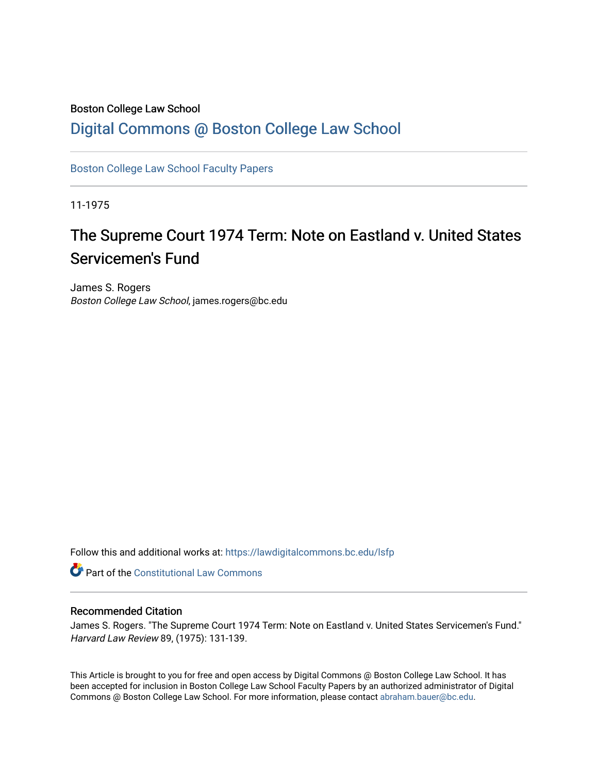## Boston College Law School

## [Digital Commons @ Boston College Law School](https://lawdigitalcommons.bc.edu/)

[Boston College Law School Faculty Papers](https://lawdigitalcommons.bc.edu/lsfp) 

11-1975

# The Supreme Court 1974 Term: Note on Eastland v. United States Servicemen's Fund

James S. Rogers Boston College Law School, james.rogers@bc.edu

Follow this and additional works at: [https://lawdigitalcommons.bc.edu/lsfp](https://lawdigitalcommons.bc.edu/lsfp?utm_source=lawdigitalcommons.bc.edu%2Flsfp%2F345&utm_medium=PDF&utm_campaign=PDFCoverPages) 

**Part of the Constitutional Law Commons** 

### Recommended Citation

James S. Rogers. "The Supreme Court 1974 Term: Note on Eastland v. United States Servicemen's Fund." Harvard Law Review 89, (1975): 131-139.

This Article is brought to you for free and open access by Digital Commons @ Boston College Law School. It has been accepted for inclusion in Boston College Law School Faculty Papers by an authorized administrator of Digital Commons @ Boston College Law School. For more information, please contact [abraham.bauer@bc.edu.](mailto:abraham.bauer@bc.edu)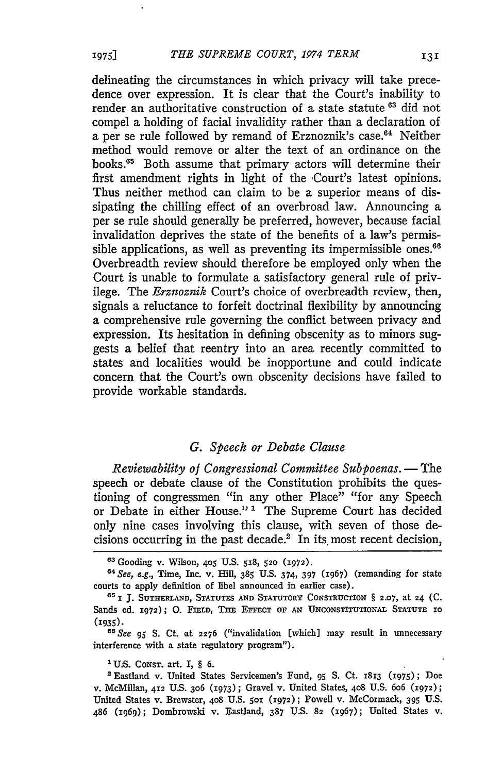delineating the circumstances in which privacy will take precedence over expression. It is clear that the Court's inability to render an authoritative construction of a state statute **63** did not compel a holding of facial invalidity rather than a declaration of a per se rule followed by remand of Erznoznik's case.<sup>64</sup> Neither method would remove or alter the text of an ordinance on the books.<sup>65</sup> Both assume that primary actors will determine their first amendment rights in light of the Court's latest opinions. Thus neither method can claim to be a superior means of dissipating the chilling effect of an overbroad law. Announcing a per se rule should generally be preferred, however, because facial invalidation deprives the state of the benefits of a law's permissible applications, as well as preventing its impermissible **ones. <sup>66</sup>** Overbreadth review should therefore be employed only when the Court is unable to formulate a satisfactory general rule of privilege. The *Erznoznik* Court's choice of overbreadth review, then, signals a reluctance to forfeit doctrinal flexibility by announcing a comprehensive rule governing the conflict between privacy and expression. Its hesitation in defining obscenity as to minors suggests a belief that reentry into an area recently committed to states and localities would be inopportune and could indicate concern that the Court's own obscenity decisions have failed to provide workable standards.

#### *G. Speech or Debate Clause*

*Reviewability of Congressional Committee Subpoenas.* **-** The speech or debate clause of the Constitution prohibits the questioning of congressmen "in any other Place" "for any Speech or Debate in either House."<sup>1</sup> The Supreme Court has decided only nine cases involving this clause, with seven of those decisions occurring in the past decade.<sup>2</sup> In its most recent decision,

*" See* **95 S.** Ct. at **2276** ("invalidation **[which] may** result **in** unnecessary interference with **a** state regulatory program").

**'U.S. CONST. art. I,** § **6.**

2 Eastland v. United States Servicemen's Fund, **95 S.** Ct. **1813 (i975); Doe** v. McMillan, **412** U.S. 3o6 (1973); **Gravel** v. United States, 408 U.S. **6o6 (1972);** United States v. Brewster, 4o8 **U.S. 5o2 (2972);** Powell v. McCormack, **395** U.S. **486** (i96q); Dombrowski v. Eastland, 387 U.S. **82 (x967);** United States v.

**19751**

**<sup>&</sup>quot;** Gooding v. Wilson, **405** U.S. 518, **520** (1972).

**<sup>&</sup>quot;** *See,* **e.g.,** Time, Inc. v. Hill, 385 U.S. 374, 397 (1967) (remanding for state courts to apply definition of libel announced in earlier case).

**<sup>651</sup> J. SUTHERLAND, STATUTES AND STATUTORY CONSTRUCTION** § **2.07,** at **24 (C.** Sands ed. 1972); O. FIELD, THE EFFECT OF AN UNCONSTITUTIONAL STATUTE 10 **(1935)-**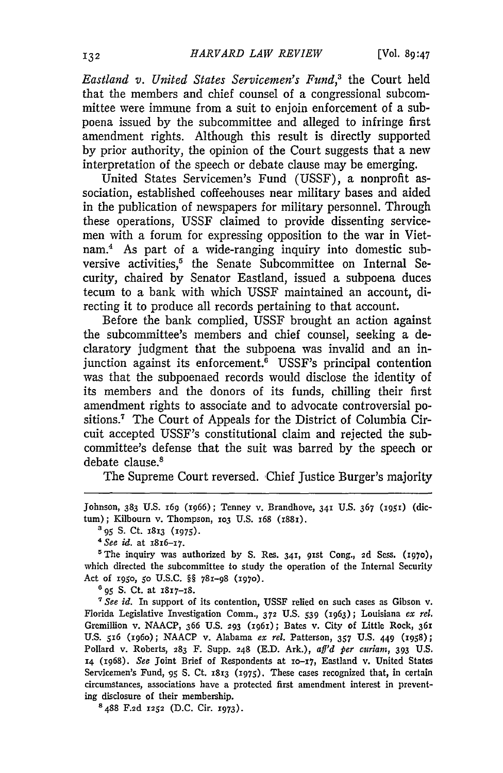*Eastland v. United States Servicemen's Fund,3* the Court held that the members and chief counsel of a congressional subcommittee were immune from a suit to enjoin enforcement of a subpoena issued by the subcommittee and alleged to infringe first amendment rights. Although this result is directly supported by prior authority, the opinion of the Court suggests that a new interpretation of the speech or debate clause may be emerging.

United States Servicemen's Fund (USSF), a nonprofit association, established coffeehouses near military bases and aided in the publication of newspapers for military personnel. Through these operations, USSF claimed to provide dissenting servicemen with a forum for expressing opposition to the war in Vietnam.4 As part of a wide-ranging inquiry into domestic subversive activities,<sup>5</sup> the Senate Subcommittee on Internal Security, chaired by Senator Eastiand, issued a subpoena duces tecum to a bank with which USSF maintained an account, directing it to produce all records pertaining to that account.

Before the bank complied, USSF brought an action against the subcommittee's members and chief counsel, seeking a declaratory judgment that the subpoena was invalid and an injunction against its enforcement.<sup>6</sup> USSF's principal contention was that the subpoenaed records would disclose the identity of its members and the donors of its funds, chilling their first amendment rights to associate and to advocate controversial positions.' The Court of Appeals for the District of Columbia Circuit accepted USSF's constitutional claim and rejected the subcommittee's defense that the suit was barred by the speech or debate clause.<sup>8</sup>

The Supreme Court reversed. Chief Justice Burger's majority

**<sup>4</sup>***See id.* at **1816-17.**

'The inquiry was authorized by S. Res. **341,** gist Cong., 2d Sess. **(i97o),** which directed the subcommittee to study the operation of the Internal Security Act of **I95O,** 5o U.S.C. *§§* 78x-98 **(1970).**

**6 95 S.** Ct. at **1817-i8.**

'See *id.* In support of its contention, USSF relied on such cases as Gibson v. Florida Legislative Investigation Comm., **372** U.S. 539 (3963); Louisiana *ex* rel. Gremillion v. NAACP, 366 U.S. **293** (ig6i); Bates v. City of Little Rock, **361** U.S. **516 (196o);** NAACP v. Alabama *ex rel.* Patterson, 357 U.S. 449 (1958); Pollard v. Roberts, **283** F. Supp. **248** (E.D. Ark.), *aff'd per curiarn,* **393 U.S. 14** (1968). *See* joint Brief of Respondents at **o-i7,** Eastland v. United States Servicemen's Fund, *95* **S.** Ct. **1813** (1975). These cases recognized that, in certain circumstances, associations have a protected first amendment interest in preventing disclosure of their membership.

8488 F.2d **1252** (D.C. Cir. 1973).

Johnson, **383 U.S. I6g (x966);** Tenney v. Brandhove, **341 U.S. 367** (ig5i) (dictum); Kilbourn v. Thompson, 103 U.S. 168 (1881).

**a95 S.** Ct. **x813 (I975).**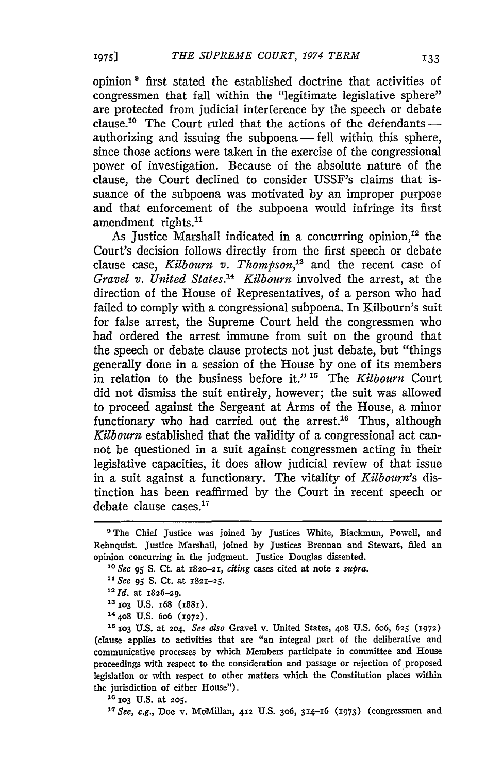opinion **I** first stated the established doctrine that activities of congressmen that fall within the "legitimate legislative sphere" are protected from judicial interference by the speech or debate clause.<sup>10</sup> The Court ruled that the actions of the defendants $$ authorizing and issuing the subpoena - fell within this sphere, since those actions were taken in the exercise of the congressional power of investigation. Because of the absolute nature of the clause, the Court declined to consider USSF's claims that issuance of the subpoena was motivated by an improper purpose and that enforcement of the subpoena would infringe its first amendment rights.<sup>11</sup>

As Justice Marshall indicated in a concurring opinion,<sup>12</sup> the Court's decision follows directly from the first speech or debate clause case, *Kilbourn v. Thompson*,<sup>13</sup> and the recent case of *Gravel v. United States. 4 Kilbourn* involved the arrest, at the direction of the House of Representatives, of a person who had failed to comply with a congressional subpoena. In Kilbourn's suit for false arrest, the Supreme Court held the congressmen who had ordered the arrest immune from suit on the ground that the speech or debate clause protects not just debate, but "things generally done in a session of the House by one of its members in relation to the business before it."<sup>15</sup> The *Kilbourn* Court did not dismiss the suit entirely, however; the suit was allowed to proceed against the Sergeant at Arms of the House, a minor functionary who had carried out the arrest.<sup>16</sup> Thus, although *Kilbourn* established that the validity of a congressional act cannot be questioned in a suit against congressmen acting in their legislative capacities, it does allow judicial review of that issue in a suit against a functionary. The vitality of *Kilbourn's* distinction has been reaffirmed by the Court in recent speech or debate clause cases. $17$ 

*<sup>10</sup>See 95* S. Ct. at 182o-21, *citing* cases cited at note 2 *supra.*

*"See* **95** S. Ct. at 1821-25.

**1d.** at 1826-29.

**13 xo3 U.S.** 168 **(I88i).**

**14408 U.S.** 6o6 **(1972).**

**is** *xo3* U.S. at 204. *See also* Gravel v. United States, **408** U.S. 6o6, **625 (2972)** (clause applies to activities that are "an integral part of the deliberative and communicative processes by which Members participate in committee and House proceedings with respect to the consideration and passage or rejection of proposed legislation or with respect to other matters which the Constitution places within the jurisdiction of either House").

**<sup>16</sup>**io3 U.S. at **205.**

**<sup>17</sup>***See, e.g.,* Doe v. McMiUan, **412** U.S. 3o6, 314-16 (1973) (congressmen and

<sup>&</sup>lt;sup>9</sup> The Chief Justice was joined by Justices White, Blackmun, Powell, and Rehnquist. Justice Marshall, joined by Justices Brennan and Stewart, filed an opinion concurring in the judgment. Justice Douglas dissented.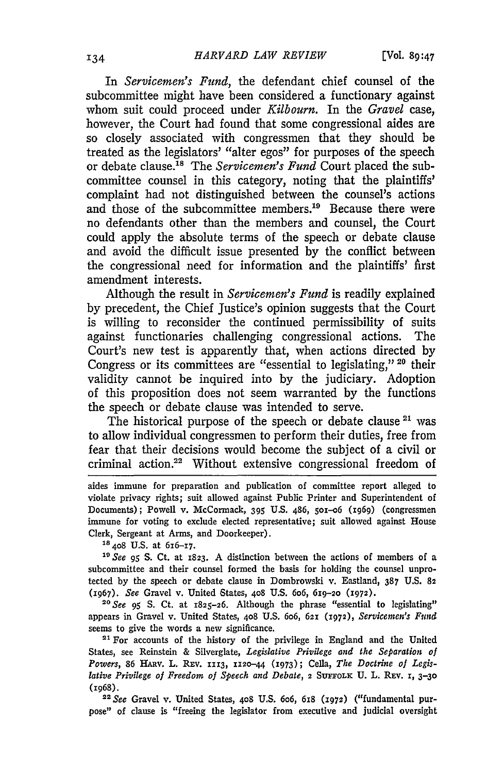In *Servicemen's Fund,* the defendant chief counsel of the subcommittee might have been considered a functionary against whom suit could proceed under *Kilbourn.* In the *Gravel* case, however, the Court had found that some congressional aides are so closely associated with congressmen that they should be treated as the legislators' "alter egos" for purposes of the speech or debate clause. 18 The *Servicemen's Fund* Court placed the subcommittee counsel in this category, noting that the plaintiffs' complaint had not distinguished between the counsel's actions and those of the subcommittee members.<sup>19</sup> Because there were no defendants other than the members and counsel, the Court could apply the absolute terms of the speech or debate clause and avoid the difficult issue presented by the conflict between the congressional need for information and the plaintiffs' first amendment interests.

Although the result in *Servicemen's Fund* is readily explained by precedent, the Chief Justice's opinion suggests that the Court is willing to reconsider the continued permissibility of suits against functionaries challenging congressional actions. The Court's new test is apparently that, when actions directed by Congress or its committees are "essential to legislating," **20** their validity cannot be inquired into by the judiciary. Adoption of this proposition does not seem warranted by the functions the speech or debate clause was intended to serve.

The historical purpose of the speech or debate clause <sup>21</sup> was to allow individual congressmen to perform their duties, free from fear that their decisions would become the subject of a civil or criminal action.22 Without extensive congressional freedom of

aides immune for preparation and publication of committee report alleged to violate privacy rights; suit allowed against Public Printer and Superintendent of Documents); Powell v. McCormack, 395 U.S. 486, 501-06 (1969) (congressmen immune for voting to exclude elected representative; suit allowed against House Clerk, Sergeant at Arms, and Doorkeeper). **<sup>18408</sup>**U.S. at 616-17.

*1" See 95* S. Ct. at **1823.** A distinction between the actions of members of a subcommittee and their counsel formed the basis for holding the counsel unprotected by the speech or debate clause in Dombrowski v. Eastland, 387 U.S. **82** (1967). *See* Gravel v. United States, **408 U.S.** 6o6, 619-20 **(1972).**

*20See 95* **S.** Ct. at **1825-26.** Although the phrase "essential to legislating" appears in Gravel v. United States, 408 U.S. 606, 621 (1972), Servicemen's Fund seems to give the words a new significance.

21 For accounts of the history of the privilege in England and the United States, see Reinstein & Silverglate, *Legislative Privilege and the Separation of* Powers, 86 HARV. L. REV. 1113, 1120-44 (1973); Cella, The Doctrine of Legis*lative Privilege of Freedom of Speech and Debate,* 2 SUFeoLx **U.** L. **REv. i, 3-3o** (1968).

*22See* Gravel v. United States, **408 U.S.** 6o6, 618 **(1972)** ("fundamental purpose" of clause is "freeing the legislator from executive and judicial oversight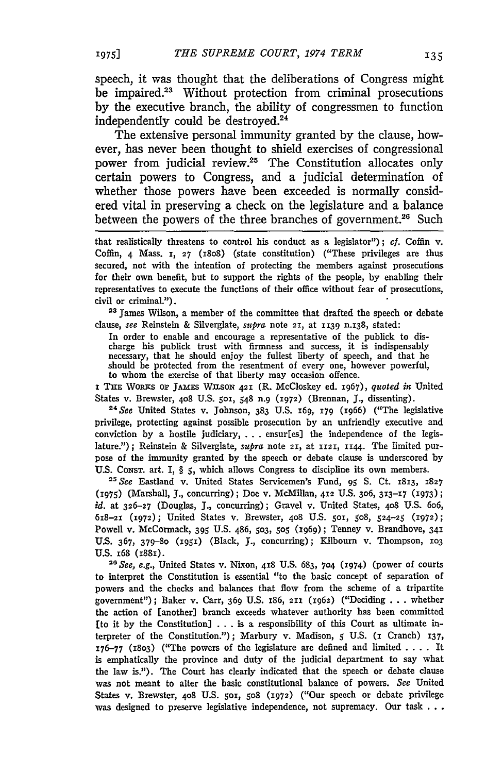speech, it was thought that the deliberations of Congress might be impaired.<sup>23</sup> Without protection from criminal prosecutions by the executive branch, the ability of congressmen to function independently could be destroyed.24

The extensive personal immunity granted by the clause, however, has never been thought to shield exercises of congressional power from judicial review.<sup>25</sup> The Constitution allocates only certain powers to Congress, and a judicial determination of whether those powers have been exceeded is normally considered vital in preserving a check on the legislature and a balance between the powers of the three branches of government.<sup>26</sup> Such

that realistically threatens to control his conduct as a legislator"); *cf.* Coffin v. Coffin, 4 Mass. **i, 27** (1808) (state constitution) ("These privileges are thus secured, not with the intention of protecting the members against prosecutions for their own benefit, but to support the rights of the people, **by** enabling their representatives to execute the functions of their office without fear of prosecutions, civil or criminal.").

**<sup>23</sup>**James Wilson, a member of the committee that drafted the speech or debate clause, *see* Reinstein & Silverglate, *supra* note **21,** at **1139** n.138, stated:

In order to enable and encourage a representative of the publick to discharge his publick trust with firmness and success, it is indispensably necessary, that he should enjoy the fullest liberty of speech, and that he should be protected from the resentment of every one, however powerful, to whom the exercise of that liberty may occasion offence.

**i THE WORKS** OP **JAMES** WIISOn **421** (R. McCloskey ed. **1967),** *quoted in* United States v. Brewster, **408** U.S. **50,** 548 n.9 **(1972)** (Brennan, J., dissenting).

**24See** United States v. Johnson, **383** U.S. i6q, **i79** (1966) ("The legislative privilege, protecting against possible prosecution by an unfriendly executive and conviction by a hostile judiciary, ...ensur[es) the independence of the legislature."); Reinstein & Silverglate, *supra* note **21,** at **1121, ii44.** The limited purpose of the immunity granted by the speech or debate clause is underscored by U.S. Consr. art. I, § 5, which allows Congress to discipline its own members.

*" <sup>2</sup> See* Eastland v. United States Servicemen's Fund, **95 S.** Ct. 1813, **<sup>1827</sup> (1975)** (Marshall, J., concurring); Doe v. McMillan, 412 **U.S.** 306, **313-17** (I973) **;** *id.* at **326-27** (Douglas, **J.,** concurring); Gravel v. United States, **408** U.S. 606, 618-2X **(1972);** United States v. Brewster, **408 U.S.** 5oi, 508, 524-25 (1972); Powell v. McCormack, 395 **U.S.** 486, **503, 505** (1969); Tenney v. Brandhove, **341 U.S.** 367, **379-80 (i95i)** (Black, **J.,** concurring); Kilbourn v. Thompson, **1o3** U.S.  $168$  ( $1881$ ).

*1See, e.g.,* United States v. Nixon, **418 U.S.** 683, **704 (1974)** (power of courts to interpret the Constitution is essential "to the basic concept of separation of powers and the checks and balances that flow from the scheme of a tripartite government"); Baker v. Carr, 369 U.S. i86, **211** (1962) ("Deciding **.**.**.** whether the action of (another) branch exceeds whatever authority has been committed [to it by the Constitution] **...**is a responsibility of this Court as ultimate interpreter of the Constitution."); Marbury v. Madison, **5** U.S. (i Cranch) 137, 176-77 **(1803)** ("The powers of the legislature are defined and limited .**. .** . It is emphatically the province and duty of the judicial department to say what the law is."). The Court has clearly indicated that the speech or debate clause was not meant to alter the basic constitutional balance of powers. *See* United States v. Brewster, **408 U.S.** 5oi, **508 (1972)** ("Our speech or debate privilege was designed to preserve legislative independence, not supremacy. Our task .**..**

**1975]**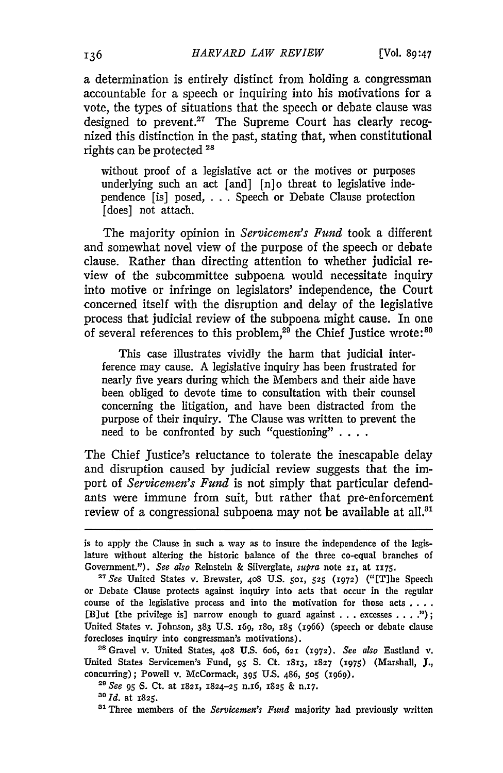a determination is entirely distinct from holding a congressman accountable for a speech or inquiring into his motivations for a vote, the types of situations that the speech or debate clause was designed to prevent.<sup>27</sup> The Supreme Court has clearly recognized this distinction in the past, stating that, when constitutional rights can be protected 28

without proof of a legislative act or the motives or purposes underlying such an act [and] [n]o threat to legislative independence [is] posed, . . . Speech or Debate Clause protection [does] not attach.

The majority opinion in *Servicemen's Fund* took a different and somewhat novel view of the purpose of the speech or debate clause. Rather than directing attention to whether judicial review of the subcommittee subpoena would necessitate inquiry into motive or infringe on legislators' independence, the Court concerned itself with the disruption and delay of the legislative process that judicial review of the subpoena might cause. In one of several references to this problem,<sup>29</sup> the Chief Justice wrote:<sup>30</sup>

This case illustrates vividly the harm that judicial interference may cause. A legislative inquiry has been frustrated for nearly five years during which the Members and their aide have been obliged to devote time to consultation with their counsel concerning the litigation, and have been distracted from the purpose of their inquiry. The Clause was written to prevent the need to be confronted by such "questioning" **....**

The Chief Justice's reluctance to tolerate the inescapable delay and disruption caused by judicial review suggests that the import of *Servicemen's Fund* is not simply that particular defendants were immune from suit, but rather that pre-enforcement review of a congressional subpoena may not be available at all.<sup>31</sup>

**28** Gravel v. United States, **408** U.S. 6o6, **621 (1972).** *See also* Eastland v. United States Servicemen's Fund, **95** S. Ct. **1813, 1827 (x975)** (Marshall, **J.,** concurring); Powell v. McCormack, 395 U.S. 486, 505 (x969).<br><sup>29</sup> *See* 95 *6*. Ct. at 1821, 1824-25 n.16, 1825 & n.17.<br><sup>30</sup> *Id.* at 1825.

**<sup>21</sup>**Three members of the *Servicemen's Fund* majority had previously written

is to apply the Clause in such a way as to insure the independence of the **legis**lature without altering the historic balance of the three co-equal branches of Government."). *See also* Reinstein & Silverglate, *supra* note 21, at 1175.

*<sup>2</sup>See* United States v. Brewster, **408** U.S. **501, 525 (1972)** ("ET]he Speech or Debate Clause protects against inquiry into acts that occur in the regular course of the legislative process and into the motivation for those acts **....** [Blut [the privilege is] narrow enough to guard against ...excesses .**.. .);** United States v. Johnson, 383 U.S. 169, 180, 185 (1966) (speech or debate clause forecloses inquiry into congressman's motivations).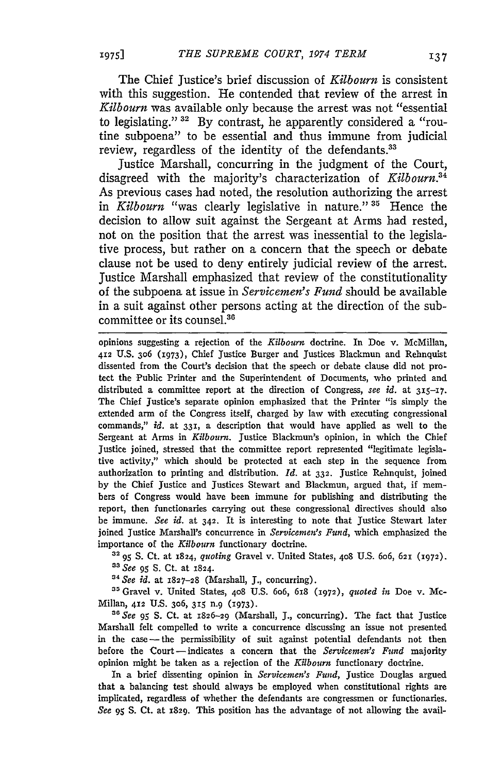The Chief Justice's brief discussion of *Kilbourn* is consistent with this suggestion. He contended that review of the arrest in *Kilbourn* was available only because the arrest was not "essential to legislating." **32** By contrast, he apparently considered a "routine subpoena" to be essential and thus immune from judicial review, regardless of the identity of the defendants.<sup>33</sup>

Justice Marshall, concurring in the judgment of the Court, disagreed with the majority's characterization of *Kilbourn.34* As previous cases had noted, the resolution authorizing the arrest in *Kilbourn* "was clearly legislative in nature." **"** Hence the decision to allow suit against the Sergeant at Arms had rested, not on the position that the arrest was inessential to the legislative process, but rather on a concern that the speech or debate clause not be used to deny entirely judicial review of the arrest. Justice Marshall emphasized that review of the constitutionality of the subpoena at issue in *Servicemen's Fund* should be available in a suit against other persons acting at the direction of the subcommittee or its counsel.<sup>36</sup>

opinions suggesting a rejection of the *Kilbourn* doctrine. In Doe v. McMillan, **412** U.S. 306 ('973), Chief Justice Burger and Justices Blackmun and Rehnquist dissented from the Court's decision that the speech or debate clause did not protect the Public Printer and the Superintendent of Documents, who printed and distributed a committee report at the direction of Congress, *see id.* at 315-17. The Chief Justice's separate opinion emphasized that the Printer "is simply the extended arm of the Congress itself, charged by law with executing congressional commands," *id.* at 331, a description that would have applied as well to the Sergeant at Arms in *Kilbourn.* Justice Blackmun's opinion, in which the Chief Justice joined, stressed that the committee report represented "legitimate legislative activity," which should be protected at each step in the sequence from authorization to printing and distribution. *Id.* at **332.** Justice Rehnquist, joined by the Chief Justice and Justices Stewart and Blackmun, argued that, if members of Congress would have been immune for publishing and distributing the report, then functionaries carrying out these congressional directives should also be immune. *See id.* at 342. It is interesting to note that Justice Stewart later joined Justice Marshall's concurrence in *Servicemen's Fund,* which emphasized the importance of the *Kilbourn* functionary doctrine.

**32 95 S.** Ct. at 1824, *quoting* Gravel v. United States, 408 U.S. 6o6, **621 (1972).** *s See 95* S. Ct. at 1824.

*" See id.* at **1827-28** (Marshall, J., concurring). **5** Gravel v. United States, **408** U.S. 6o6, **618 (1972),** *quoted in* Doe v. Mc-Millan, **412** U.S. 306, **315** n.9 (1973).

*" See 95* **S.** Ct. at **1826-29** (Marshall, **J.,** concurring). The fact that Justice Marshall felt compelled to write a concurrence discussing an issue not presented in the case -- the permissibility of suit against potential defendants not then before the Court -indicates a concern that the *Servicemen's Fund* majority opinion might be taken as a rejection of the *Kilbourn* functionary doctrine.

In a brief dissenting opinion in *Servicemen's Fund,* Justice Douglas argued that a balancing test should always be employed when constitutional rights are implicated, regardless of whether the defendants are congressmen or functionaries. *See 95* S. Ct. at **1829.** This position has the advantage of not allowing the avail-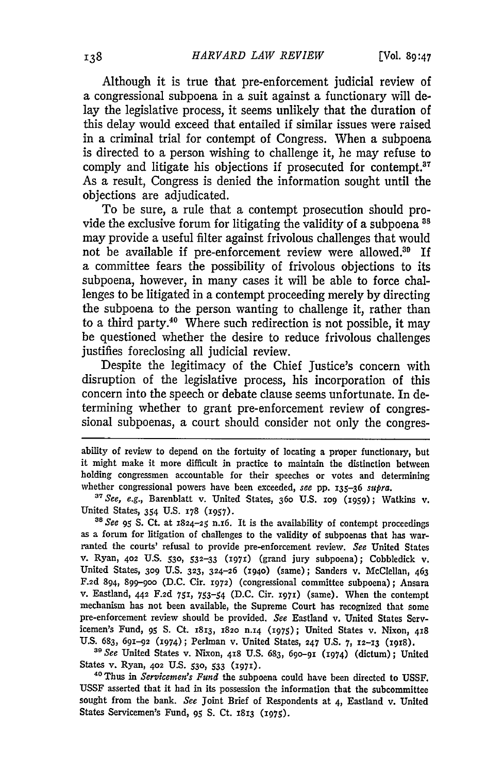Although it is true that pre-enforcement judicial review of a congressional subpoena in a suit against a functionary will delay the legislative process, it seems unlikely that the duration of this delay would exceed that entailed if similar issues were raised in a criminal trial for contempt of Congress. When a subpoena is directed to a person wishing to challenge it, he may refuse to comply and litigate his objections if prosecuted for contempt.<sup>37</sup> As a result, Congress is denied the information sought until the objections are adjudicated.

To be sure, a rule that a contempt prosecution should provide the exclusive forum for litigating the validity of a subpoena<sup>38</sup> may provide a useful filter against frivolous challenges that would not be available if pre-enforcement review were allowed.<sup>30</sup> If a committee fears the possibility of frivolous objections to its subpoena, however, in many cases it will be able to force challenges to be litigated in a contempt proceeding merely by directing the subpoena to the person wanting to challenge it, rather than to a third party.40 Where such redirection is not possible, it may be questioned whether the desire to reduce frivolous challenges justifies foreclosing all judicial review.

Despite the legitimacy of the Chief Justice's concern with disruption of the legislative process, his incorporation of this concern into the speech or debate clause seems unfortunate. In determining whether to grant pre-enforcement review of congressional subpoenas, a court should consider not only the congres-

ability of review to depend on the fortuity of locating a proper functionary, but it might make it more difficult in practice to maintain the distinction between holding congressmen accountable for their speeches or votes and determining whether congressional powers have been exceeded, *see* pp. 135-36 *supra.*

*" See, e.g.,* Barenblatt v. United States, **36o** U.S. **xo9 (1959);** Watkins v. United States, 354 **U.S. 178** (1957).

**<sup>38</sup>***See 95* S. Ct. at 1824-25 n.i6. It is the availability of contempt proceedings as a forum for litigation of challenges to the validity of subpoenas that has warranted the courts' refusal to provide pre-enforcement review. See United States v. Ryan, **402** U.S. **530, 532-33 (197x)** (grand jury subpoena); Cobbledick **v.** United States, **309** U.S. **323,** 324-26 **(i94o)** (same); Sanders v. McClellan, 463 F.2d 894, **899-900 (D.C.** Cir. **1972)** (congressional committee subpoena); Ansara v. Eastland, 442 **F.2d 751, 753-54** (D.C. Cir. **X971)** (same). When the contempt mechanism has not been available, the Supreme Court has recognized that some pre-enforcement review should be provided. *See* Eastland v. United States Servicemen's Fund, **95** S. Ct. **1813, 182o n.14 (1975);** United States v. Nixon, **418** U.S. 683, 691-92 (1974); Perlman v. United States, 247 U.S. 7, 12-13 (1918).

<sup>39</sup> See United States v. Nixon, 418 U.S. 683, 690-91 (1974) (dictum); United States v. Ryan, **402 U.S. 530, 533 (197).**

<sup>40</sup> Thus in *Servicemen's Fund* the subpoena could have been directed to USSF. USSF asserted that it had in its possession the information that the subcommittee sought from the bank. *See* Joint Brief of Respondents at 4, Eastland v. United States Servicemen's Fund, 95 S. Ct. 1813 (1975).